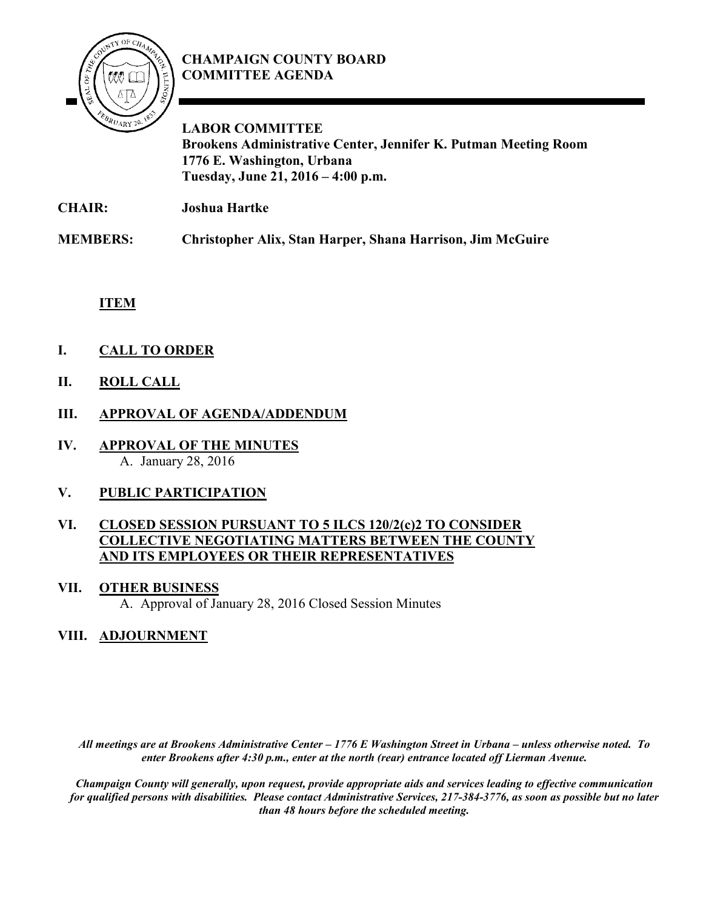

## **CHAMPAIGN COUNTY BOARD COMMITTEE AGENDA**

**LABOR COMMITTEE Brookens Administrative Center, Jennifer K. Putman Meeting Room 1776 E. Washington, Urbana Tuesday, June 21, 2016 – 4:00 p.m.**

**CHAIR: Joshua Hartke**

**MEMBERS: Christopher Alix, Stan Harper, Shana Harrison, Jim McGuire**

**ITEM**

- **I. CALL TO ORDER**
- **II. ROLL CALL**
- **III. APPROVAL OF AGENDA/ADDENDUM**
- **IV. APPROVAL OF THE MINUTES** A. January 28, 2016

## **V. PUBLIC PARTICIPATION**

### **VI. CLOSED SESSION PURSUANT TO 5 ILCS 120/2(c)2 TO CONSIDER COLLECTIVE NEGOTIATING MATTERS BETWEEN THE COUNTY AND ITS EMPLOYEES OR THEIR REPRESENTATIVES**

#### **VII. OTHER BUSINESS**

A. Approval of January 28, 2016 Closed Session Minutes

## **VIII. ADJOURNMENT**

*All meetings are at Brookens Administrative Center – 1776 E Washington Street in Urbana – unless otherwise noted. To enter Brookens after 4:30 p.m., enter at the north (rear) entrance located off Lierman Avenue.* 

*Champaign County will generally, upon request, provide appropriate aids and services leading to effective communication for qualified persons with disabilities. Please contact Administrative Services, 217-384-3776, as soon as possible but no later than 48 hours before the scheduled meeting.*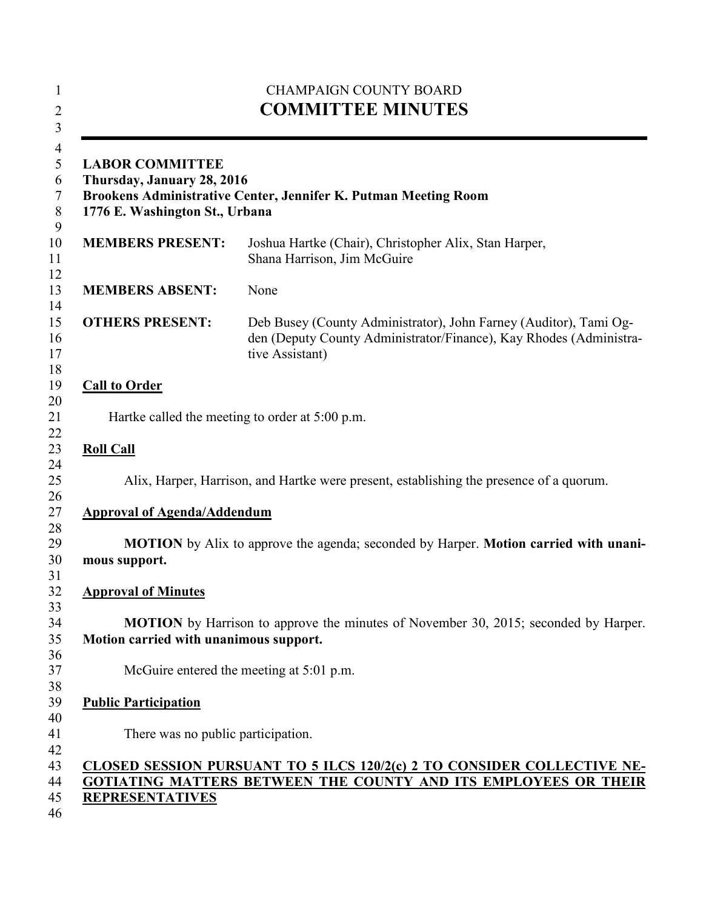| <b>LABOR COMMITTEE</b><br>Thursday, January 28, 2016<br>Brookens Administrative Center, Jennifer K. Putman Meeting Room<br>1776 E. Washington St., Urbana |                                                                                                                                                            |
|-----------------------------------------------------------------------------------------------------------------------------------------------------------|------------------------------------------------------------------------------------------------------------------------------------------------------------|
| <b>MEMBERS PRESENT:</b>                                                                                                                                   | Joshua Hartke (Chair), Christopher Alix, Stan Harper,<br>Shana Harrison, Jim McGuire                                                                       |
| <b>MEMBERS ABSENT:</b>                                                                                                                                    | None                                                                                                                                                       |
| <b>OTHERS PRESENT:</b>                                                                                                                                    | Deb Busey (County Administrator), John Farney (Auditor), Tami Og-<br>den (Deputy County Administrator/Finance), Kay Rhodes (Administra-<br>tive Assistant) |
| <b>Call to Order</b>                                                                                                                                      |                                                                                                                                                            |
|                                                                                                                                                           | Hartke called the meeting to order at 5:00 p.m.                                                                                                            |
| <b>Roll Call</b>                                                                                                                                          |                                                                                                                                                            |
|                                                                                                                                                           | Alix, Harper, Harrison, and Hartke were present, establishing the presence of a quorum.                                                                    |
| <b>Approval of Agenda/Addendum</b>                                                                                                                        |                                                                                                                                                            |
|                                                                                                                                                           | <b>MOTION</b> by Alix to approve the agenda; seconded by Harper. <b>Motion carried with unani-</b>                                                         |
| mous support.                                                                                                                                             |                                                                                                                                                            |
| <b>Approval of Minutes</b>                                                                                                                                |                                                                                                                                                            |
| Motion carried with unanimous support.                                                                                                                    | <b>MOTION</b> by Harrison to approve the minutes of November 30, 2015; seconded by Harper.                                                                 |
|                                                                                                                                                           |                                                                                                                                                            |
| McGuire entered the meeting at 5:01 p.m.                                                                                                                  |                                                                                                                                                            |
| <b>Public Participation</b>                                                                                                                               |                                                                                                                                                            |